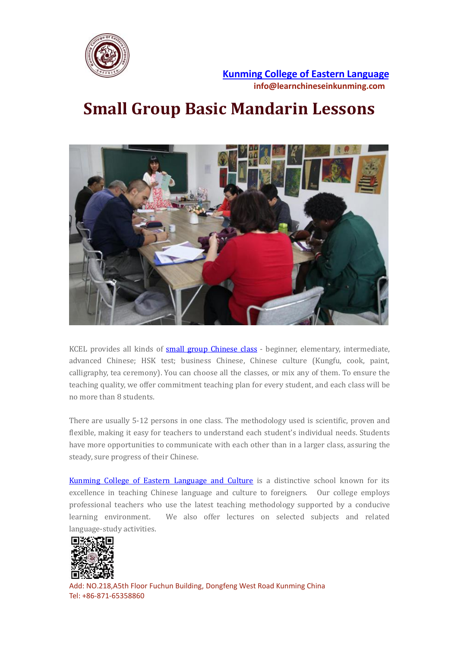

**Kunming College of Eastern [Language](https://www.learnchineseinkunming.com/) info@learnchineseinkunming.com**

## **Small Group Basic Mandarin Lessons**



KCEL provides all kinds of small group [Chinese](https://www.learnchineseinkunming.com/small-chinese-language-group.html) class - beginner, elementary, intermediate, advanced Chinese; HSK test; business Chinese, Chinese culture (Kungfu, cook, paint, calligraphy, tea ceremony). You can choose all the classes, or mix any of them. To ensure the teaching quality, we offer commitment teaching plan for every student, and each classwill be no more than 8 students.

There are usually 5-12 persons in one class. The methodology used is scientific, proven and flexible, making it easy for teachers to understand each student's individual needs. Students have more opportunities to communicate with each other than in a larger class, assuring the steady, sure progress of their Chinese.

Kunming College of Eastern [Language](https://www.learnchineseinkunming.com/) and Culture is a distinctive school known for its excellence in teaching Chinese language and culture to foreigners. Our college employs professional teachers who use the latest teaching methodology supported by a conducive learning environment. We also offer lectures on selected subjects and related language-study activities.



Add: NO.218,A5th Floor Fuchun Building, Dongfeng West Road Kunming China Tel: +86-871-65358860